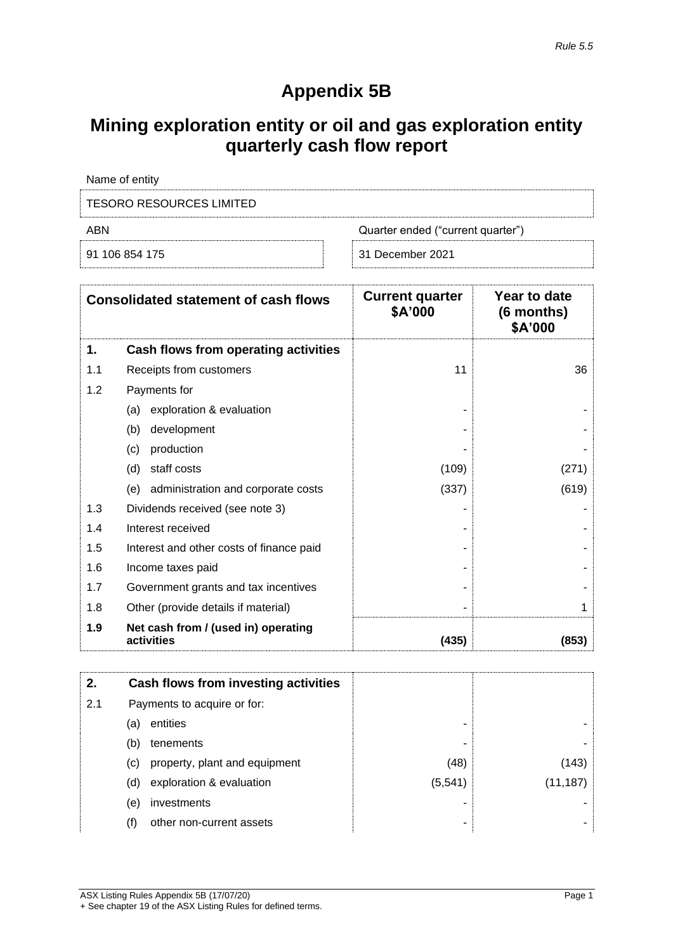## **Appendix 5B**

# **Mining exploration entity or oil and gas exploration entity quarterly cash flow report**

| Name of entity           |                                   |
|--------------------------|-----------------------------------|
| TESORO RESOURCES LIMITED |                                   |
| ABN                      | Quarter ended ("current quarter") |
| 91 106 854 175           | 31 December 2021                  |

|     | <b>Consolidated statement of cash flows</b>       | <b>Current quarter</b><br>\$A'000 | Year to date<br>(6 months)<br>\$A'000 |
|-----|---------------------------------------------------|-----------------------------------|---------------------------------------|
| 1.  | Cash flows from operating activities              |                                   |                                       |
| 1.1 | Receipts from customers                           | 11                                | 36                                    |
| 1.2 | Payments for                                      |                                   |                                       |
|     | exploration & evaluation<br>(a)                   |                                   |                                       |
|     | (b)<br>development                                |                                   |                                       |
|     | (c)<br>production                                 |                                   |                                       |
|     | (d)<br>staff costs                                | (109)                             | (271)                                 |
|     | (e) administration and corporate costs            | (337)                             | (619)                                 |
| 1.3 | Dividends received (see note 3)                   |                                   |                                       |
| 1.4 | Interest received                                 |                                   |                                       |
| 1.5 | Interest and other costs of finance paid          |                                   |                                       |
| 1.6 | Income taxes paid                                 |                                   |                                       |
| 1.7 | Government grants and tax incentives              |                                   |                                       |
| 1.8 | Other (provide details if material)               |                                   |                                       |
| 1.9 | Net cash from / (used in) operating<br>activities | (435)                             | (853)                                 |

| 2.  |     | Cash flows from investing activities |          |           |
|-----|-----|--------------------------------------|----------|-----------|
| 2.1 |     | Payments to acquire or for:          |          |           |
|     | (a) | entities                             | -        |           |
|     | (b) | tenements                            | ۰        |           |
|     | (C) | property, plant and equipment        | (48)     | (143)     |
|     | (d) | exploration & evaluation             | (5, 541) | (11, 187) |
|     | (e) | investments                          |          |           |
|     | (f) | other non-current assets             | ۰        |           |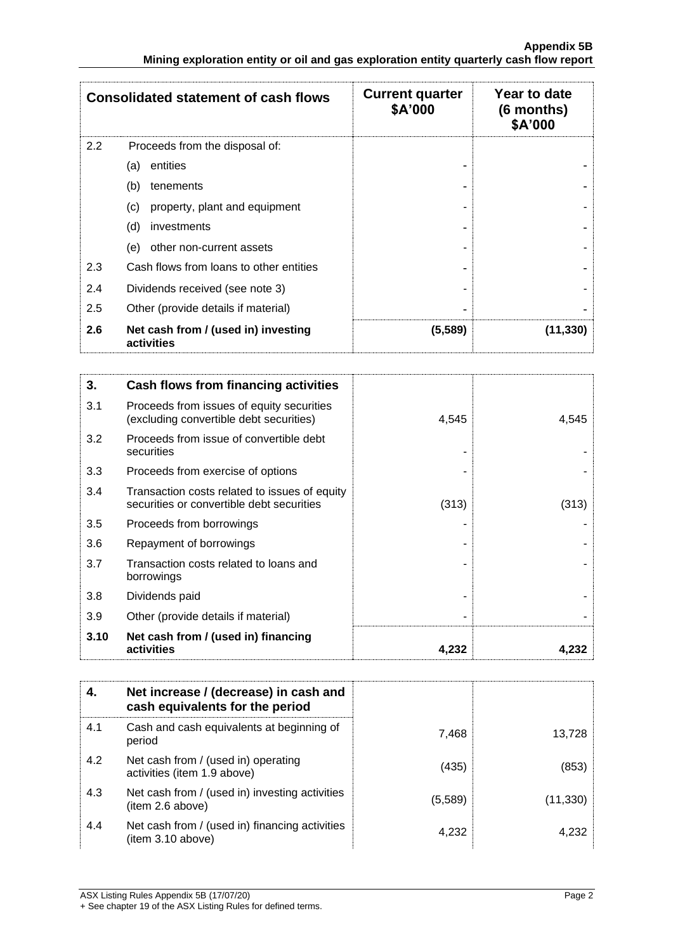|     | <b>Consolidated statement of cash flows</b>       | <b>Current quarter</b><br>\$A'000 | Year to date<br>(6 months)<br>\$A'000 |
|-----|---------------------------------------------------|-----------------------------------|---------------------------------------|
| 2.2 | Proceeds from the disposal of:                    |                                   |                                       |
|     | entities<br>(a)                                   |                                   |                                       |
|     | (b)<br>tenements                                  |                                   |                                       |
|     | property, plant and equipment<br>(c)              |                                   |                                       |
|     | (d)<br>investments                                |                                   |                                       |
|     | other non-current assets<br>(e)                   |                                   |                                       |
| 2.3 | Cash flows from loans to other entities           |                                   |                                       |
| 2.4 | Dividends received (see note 3)                   |                                   |                                       |
| 2.5 | Other (provide details if material)               |                                   |                                       |
| 2.6 | Net cash from / (used in) investing<br>activities | (5,589)                           | (11, 330)                             |

| 3.   | Cash flows from financing activities                                                       |       |       |
|------|--------------------------------------------------------------------------------------------|-------|-------|
| 3.1  | Proceeds from issues of equity securities<br>(excluding convertible debt securities)       | 4,545 | 4,545 |
| 3.2  | Proceeds from issue of convertible debt<br>securities                                      |       |       |
| 3.3  | Proceeds from exercise of options                                                          |       |       |
| 3.4  | Transaction costs related to issues of equity<br>securities or convertible debt securities | (313) | (313) |
| 3.5  | Proceeds from borrowings                                                                   |       |       |
| 3.6  | Repayment of borrowings                                                                    |       |       |
| 3.7  | Transaction costs related to loans and<br>borrowings                                       |       |       |
| 3.8  | Dividends paid                                                                             |       |       |
| 3.9  | Other (provide details if material)                                                        |       |       |
| 3.10 | Net cash from / (used in) financing<br>activities                                          | 4,232 | 4,232 |

| 4.  | Net increase / (decrease) in cash and<br>cash equivalents for the period |         |          |
|-----|--------------------------------------------------------------------------|---------|----------|
| 4.1 | Cash and cash equivalents at beginning of<br>period                      | 7,468   | 13.728   |
| 4.2 | Net cash from / (used in) operating<br>activities (item 1.9 above)       | (435)   | (853)    |
| 4.3 | Net cash from / (used in) investing activities<br>(item 2.6 above)       | (5,589) | (11,330) |
| 4.4 | Net cash from / (used in) financing activities<br>item 3.10 above)       | 4,232   | 4,232    |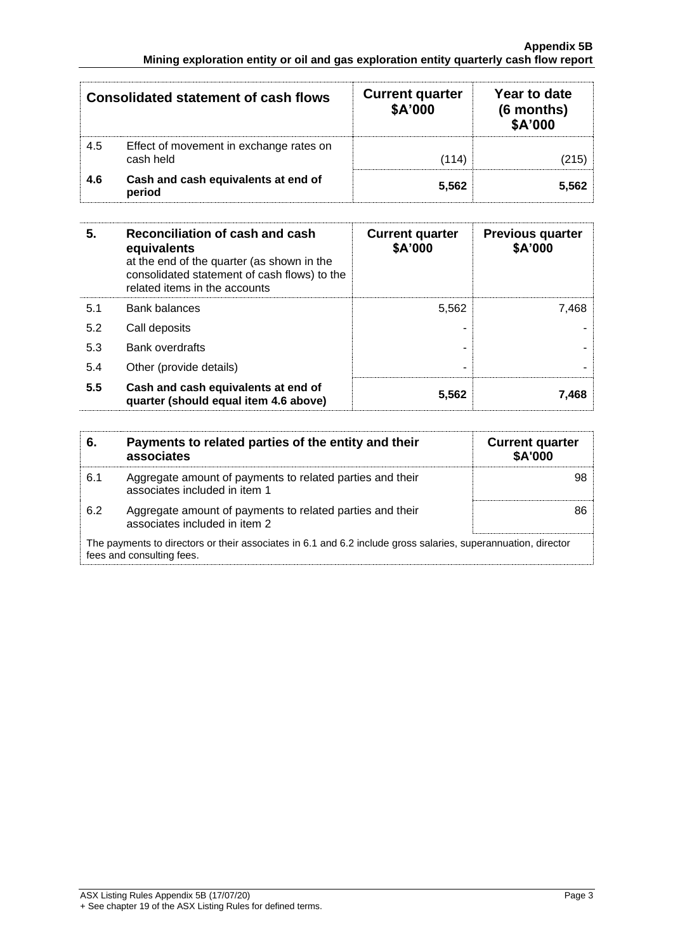|     | <b>Consolidated statement of cash flows</b>          | <b>Current quarter</b><br>\$A'000 | Year to date<br>(6 months)<br>\$A'000 |
|-----|------------------------------------------------------|-----------------------------------|---------------------------------------|
| 4.5 | Effect of movement in exchange rates on<br>cash held | (114)                             | (215)                                 |
| 4.6 | Cash and cash equivalents at end of<br>period        | 5,562                             | 5.562                                 |

| 5.  | Reconciliation of cash and cash<br>equivalents<br>at the end of the quarter (as shown in the<br>consolidated statement of cash flows) to the<br>related items in the accounts | <b>Current quarter</b><br>\$A'000 | <b>Previous quarter</b><br>\$A'000 |
|-----|-------------------------------------------------------------------------------------------------------------------------------------------------------------------------------|-----------------------------------|------------------------------------|
| 5.1 | <b>Bank balances</b>                                                                                                                                                          | 5,562                             | 7.468                              |
| 5.2 | Call deposits                                                                                                                                                                 |                                   |                                    |
| 5.3 | Bank overdrafts                                                                                                                                                               |                                   |                                    |
| 5.4 | Other (provide details)                                                                                                                                                       |                                   |                                    |
| 5.5 | Cash and cash equivalents at end of<br>quarter (should equal item 4.6 above)                                                                                                  | 5,562                             | 7.468                              |

| 6.  | Payments to related parties of the entity and their<br>associates                                                                          | <b>Current quarter</b><br><b>\$A'000</b> |
|-----|--------------------------------------------------------------------------------------------------------------------------------------------|------------------------------------------|
| 6.1 | Aggregate amount of payments to related parties and their<br>associates included in item 1                                                 |                                          |
| 6.2 | Aggregate amount of payments to related parties and their<br>associates included in item 2                                                 |                                          |
|     | The payments to directors or their associates in 6.1 and 6.2 include gross salaries, superannuation, director<br>fees and consulting fees. |                                          |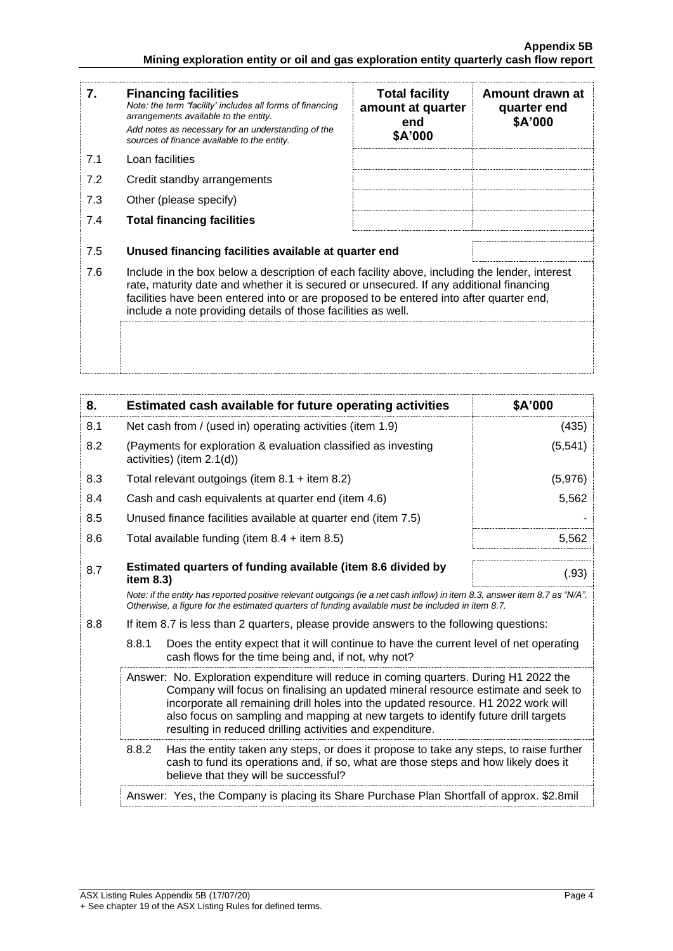| 7.  | <b>Financing facilities</b><br>Note: the term "facility' includes all forms of financing<br>arrangements available to the entity.<br>Add notes as necessary for an understanding of the<br>sources of finance available to the entity.                                                                                                               | <b>Total facility</b><br>amount at quarter<br>end<br>\$A'000 | Amount drawn at<br>quarter end<br>\$A'000 |
|-----|------------------------------------------------------------------------------------------------------------------------------------------------------------------------------------------------------------------------------------------------------------------------------------------------------------------------------------------------------|--------------------------------------------------------------|-------------------------------------------|
| 7.1 | Loan facilities                                                                                                                                                                                                                                                                                                                                      |                                                              |                                           |
| 7.2 | Credit standby arrangements                                                                                                                                                                                                                                                                                                                          |                                                              |                                           |
| 7.3 | Other (please specify)                                                                                                                                                                                                                                                                                                                               |                                                              |                                           |
| 7.4 | <b>Total financing facilities</b>                                                                                                                                                                                                                                                                                                                    |                                                              |                                           |
| 7.5 | Unused financing facilities available at quarter end                                                                                                                                                                                                                                                                                                 |                                                              |                                           |
| 7.6 | Include in the box below a description of each facility above, including the lender, interest<br>rate, maturity date and whether it is secured or unsecured. If any additional financing<br>facilities have been entered into or are proposed to be entered into after quarter end,<br>include a note providing details of those facilities as well. |                                                              |                                           |
|     |                                                                                                                                                                                                                                                                                                                                                      |                                                              |                                           |

| 8.  | Estimated cash available for future operating activities                                                                                                                                                                                                                                                                                                                                                             | \$A'000  |
|-----|----------------------------------------------------------------------------------------------------------------------------------------------------------------------------------------------------------------------------------------------------------------------------------------------------------------------------------------------------------------------------------------------------------------------|----------|
| 8.1 | Net cash from / (used in) operating activities (item 1.9)                                                                                                                                                                                                                                                                                                                                                            | (435)    |
| 8.2 | (Payments for exploration & evaluation classified as investing<br>activities) (item 2.1(d))                                                                                                                                                                                                                                                                                                                          | (5, 541) |
| 8.3 | Total relevant outgoings (item $8.1 +$ item $8.2$ )                                                                                                                                                                                                                                                                                                                                                                  | (5,976)  |
| 8.4 | Cash and cash equivalents at quarter end (item 4.6)                                                                                                                                                                                                                                                                                                                                                                  | 5,562    |
| 8.5 | Unused finance facilities available at quarter end (item 7.5)                                                                                                                                                                                                                                                                                                                                                        |          |
| 8.6 | Total available funding (item $8.4 +$ item $8.5$ )                                                                                                                                                                                                                                                                                                                                                                   | 5,562    |
| 8.7 | Estimated quarters of funding available (item 8.6 divided by<br>item $8.3$ )                                                                                                                                                                                                                                                                                                                                         | (.93)    |
|     | Note: if the entity has reported positive relevant outgoings (ie a net cash inflow) in item 8.3, answer item 8.7 as "N/A".<br>Otherwise, a figure for the estimated quarters of funding available must be included in item 8.7.                                                                                                                                                                                      |          |
| 8.8 | If item 8.7 is less than 2 quarters, please provide answers to the following questions:                                                                                                                                                                                                                                                                                                                              |          |
|     | 8.8.1<br>Does the entity expect that it will continue to have the current level of net operating<br>cash flows for the time being and, if not, why not?                                                                                                                                                                                                                                                              |          |
|     | Answer: No. Exploration expenditure will reduce in coming quarters. During H1 2022 the<br>Company will focus on finalising an updated mineral resource estimate and seek to<br>incorporate all remaining drill holes into the updated resource. H1 2022 work will<br>also focus on sampling and mapping at new targets to identify future drill targets<br>resulting in reduced drilling activities and expenditure. |          |
|     | 8.8.2<br>Has the entity taken any steps, or does it propose to take any steps, to raise further<br>cash to fund its operations and, if so, what are those steps and how likely does it<br>believe that they will be successful?                                                                                                                                                                                      |          |
|     | Answer: Yes, the Company is placing its Share Purchase Plan Shortfall of approx. \$2.8mil                                                                                                                                                                                                                                                                                                                            |          |
|     |                                                                                                                                                                                                                                                                                                                                                                                                                      |          |